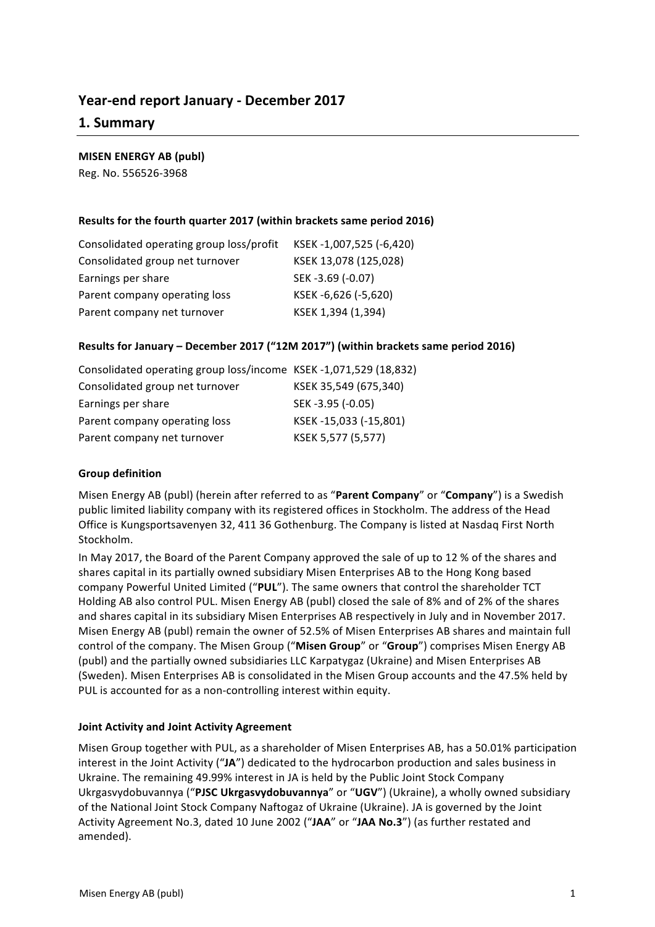# **Year-end report January - December 2017**

# **1. Summary**

## **MISEN ENERGY AB (publ)**

Reg. No. 556526-3968

## **Results for the fourth quarter 2017 (within brackets same period 2016)**

| Consolidated operating group loss/profit | KSEK-1,007,525 (-6,420) |
|------------------------------------------|-------------------------|
| Consolidated group net turnover          | KSEK 13,078 (125,028)   |
| Earnings per share                       | SEK-3.69 (-0.07)        |
| Parent company operating loss            | KSEK-6,626 (-5,620)     |
| Parent company net turnover              | KSEK 1,394 (1,394)      |

## Results for January - December 2017 ("12M 2017") (within brackets same period 2016)

| Consolidated operating group loss/income KSEK-1,071,529 (18,832) |                       |
|------------------------------------------------------------------|-----------------------|
| Consolidated group net turnover                                  | KSEK 35,549 (675,340) |
| Earnings per share                                               | SEK -3.95 (-0.05)     |
| Parent company operating loss                                    | KSEK-15,033 (-15,801) |
| Parent company net turnover                                      | KSEK 5,577 (5,577)    |

### **Group definition**

Misen Energy AB (publ) (herein after referred to as "Parent Company" or "Company") is a Swedish public limited liability company with its registered offices in Stockholm. The address of the Head Office is Kungsportsavenyen 32, 411 36 Gothenburg. The Company is listed at Nasdaq First North Stockholm. 

In May 2017, the Board of the Parent Company approved the sale of up to 12 % of the shares and shares capital in its partially owned subsidiary Misen Enterprises AB to the Hong Kong based company Powerful United Limited ("PUL"). The same owners that control the shareholder TCT Holding AB also control PUL. Misen Energy AB (publ) closed the sale of 8% and of 2% of the shares and shares capital in its subsidiary Misen Enterprises AB respectively in July and in November 2017. Misen Energy AB (publ) remain the owner of 52.5% of Misen Enterprises AB shares and maintain full control of the company. The Misen Group ("Misen Group" or "Group") comprises Misen Energy AB (publ) and the partially owned subsidiaries LLC Karpatygaz (Ukraine) and Misen Enterprises AB (Sweden). Misen Enterprises AB is consolidated in the Misen Group accounts and the 47.5% held by PUL is accounted for as a non-controlling interest within equity.

### **Joint Activity and Joint Activity Agreement**

Misen Group together with PUL, as a shareholder of Misen Enterprises AB, has a 50.01% participation interest in the Joint Activity ("JA") dedicated to the hydrocarbon production and sales business in Ukraine. The remaining 49.99% interest in JA is held by the Public Joint Stock Company Ukrgasvydobuvannya ("PJSC Ukrgasvydobuvannya" or "UGV") (Ukraine), a wholly owned subsidiary of the National Joint Stock Company Naftogaz of Ukraine (Ukraine). JA is governed by the Joint Activity Agreement No.3, dated 10 June 2002 ("JAA" or "JAA No.3") (as further restated and amended).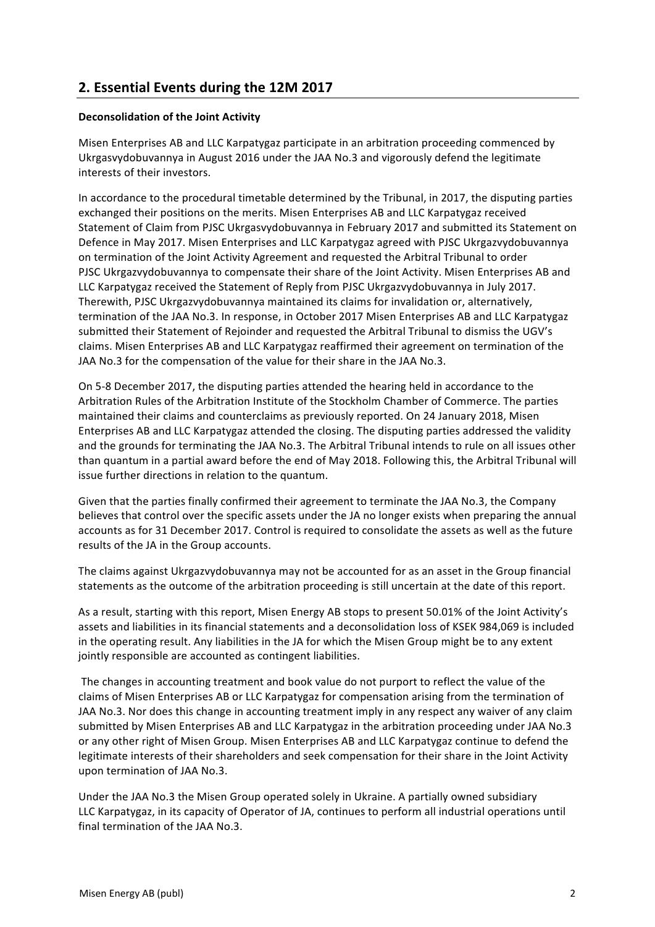# **2. Essential Events during the 12М 2017**

## **Deconsolidation of the Joint Activity**

Misen Enterprises AB and LLC Karpatygaz participate in an arbitration proceeding commenced by Ukrgasvydobuvannya in August 2016 under the JAA No.3 and vigorously defend the legitimate interests of their investors.

In accordance to the procedural timetable determined by the Tribunal, in 2017, the disputing parties exchanged their positions on the merits. Misen Enterprises AB and LLC Karpatygaz received Statement of Claim from PJSC Ukrgasvydobuvannya in February 2017 and submitted its Statement on Defence in May 2017. Misen Enterprises and LLC Karpatygaz agreed with PJSC Ukrgazvydobuvannya on termination of the Joint Activity Agreement and requested the Arbitral Tribunal to order PJSC Ukrgazvydobuvannya to compensate their share of the Joint Activity. Misen Enterprises AB and LLC Karpatygaz received the Statement of Reply from PJSC Ukrgazvydobuvannya in July 2017. Therewith, PJSC Ukrgazvydobuvannya maintained its claims for invalidation or, alternatively, termination of the JAA No.3. In response, in October 2017 Misen Enterprises AB and LLC Karpatygaz submitted their Statement of Rejoinder and requested the Arbitral Tribunal to dismiss the UGV's claims. Misen Enterprises AB and LLC Karpatygaz reaffirmed their agreement on termination of the JAA No.3 for the compensation of the value for their share in the JAA No.3.

On 5-8 December 2017, the disputing parties attended the hearing held in accordance to the Arbitration Rules of the Arbitration Institute of the Stockholm Chamber of Commerce. The parties maintained their claims and counterclaims as previously reported. On 24 January 2018, Misen Enterprises AB and LLC Karpatygaz attended the closing. The disputing parties addressed the validity and the grounds for terminating the JAA No.3. The Arbitral Tribunal intends to rule on all issues other than quantum in a partial award before the end of May 2018. Following this, the Arbitral Tribunal will issue further directions in relation to the quantum.

Given that the parties finally confirmed their agreement to terminate the JAA No.3, the Company believes that control over the specific assets under the JA no longer exists when preparing the annual accounts as for 31 December 2017. Control is required to consolidate the assets as well as the future results of the JA in the Group accounts.

The claims against Ukrgazvydobuvannya may not be accounted for as an asset in the Group financial statements as the outcome of the arbitration proceeding is still uncertain at the date of this report.

As a result, starting with this report, Misen Energy AB stops to present 50.01% of the Joint Activity's assets and liabilities in its financial statements and a deconsolidation loss of KSEK 984,069 is included in the operating result. Any liabilities in the JA for which the Misen Group might be to any extent jointly responsible are accounted as contingent liabilities.

The changes in accounting treatment and book value do not purport to reflect the value of the claims of Misen Enterprises AB or LLC Karpatygaz for compensation arising from the termination of JAA No.3. Nor does this change in accounting treatment imply in any respect any waiver of any claim submitted by Misen Enterprises AB and LLC Karpatygaz in the arbitration proceeding under JAA No.3 or any other right of Misen Group. Misen Enterprises AB and LLC Karpatygaz continue to defend the legitimate interests of their shareholders and seek compensation for their share in the Joint Activity upon termination of JAA No.3.

Under the JAA No.3 the Misen Group operated solely in Ukraine. A partially owned subsidiary LLC Karpatygaz, in its capacity of Operator of JA, continues to perform all industrial operations until final termination of the JAA No.3.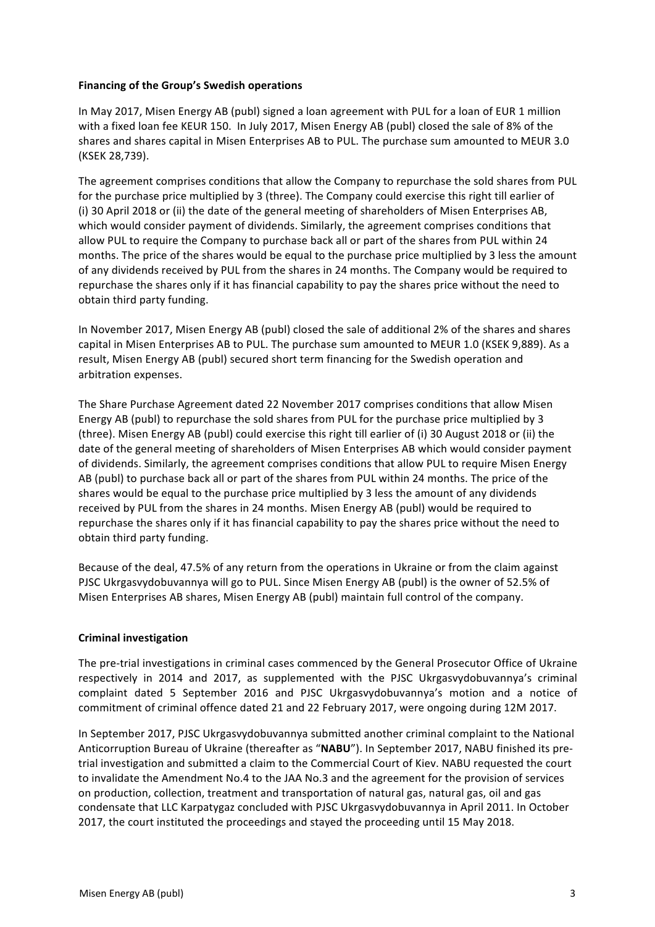### **Financing of the Group's Swedish operations**

In May 2017, Misen Energy AB (publ) signed a loan agreement with PUL for a loan of EUR 1 million with a fixed loan fee KEUR 150. In July 2017, Misen Energy AB (publ) closed the sale of 8% of the shares and shares capital in Misen Enterprises AB to PUL. The purchase sum amounted to MEUR 3.0 (KSEK 28,739). 

The agreement comprises conditions that allow the Company to repurchase the sold shares from PUL for the purchase price multiplied by 3 (three). The Company could exercise this right till earlier of (i) 30 April 2018 or (ii) the date of the general meeting of shareholders of Misen Enterprises AB, which would consider payment of dividends. Similarly, the agreement comprises conditions that allow PUL to require the Company to purchase back all or part of the shares from PUL within 24 months. The price of the shares would be equal to the purchase price multiplied by 3 less the amount of any dividends received by PUL from the shares in 24 months. The Company would be required to repurchase the shares only if it has financial capability to pay the shares price without the need to obtain third party funding.

In November 2017, Misen Energy AB (publ) closed the sale of additional 2% of the shares and shares capital in Misen Enterprises AB to PUL. The purchase sum amounted to MEUR 1.0 (KSEK 9,889). As a result, Misen Energy AB (publ) secured short term financing for the Swedish operation and arbitration expenses.

The Share Purchase Agreement dated 22 November 2017 comprises conditions that allow Misen Energy AB (publ) to repurchase the sold shares from PUL for the purchase price multiplied by 3 (three). Misen Energy AB (publ) could exercise this right till earlier of (i) 30 August 2018 or (ii) the date of the general meeting of shareholders of Misen Enterprises AB which would consider payment of dividends. Similarly, the agreement comprises conditions that allow PUL to require Misen Energy AB (publ) to purchase back all or part of the shares from PUL within 24 months. The price of the shares would be equal to the purchase price multiplied by 3 less the amount of any dividends received by PUL from the shares in 24 months. Misen Energy AB (publ) would be required to repurchase the shares only if it has financial capability to pay the shares price without the need to obtain third party funding.

Because of the deal, 47.5% of any return from the operations in Ukraine or from the claim against PJSC Ukrgasvydobuvannya will go to PUL. Since Misen Energy AB (publ) is the owner of 52.5% of Misen Enterprises AB shares, Misen Energy AB (publ) maintain full control of the company.

### **Criminal investigation**

The pre-trial investigations in criminal cases commenced by the General Prosecutor Office of Ukraine respectively in 2014 and 2017, as supplemented with the PJSC Ukrgasvydobuvannya's criminal complaint dated 5 September 2016 and PJSC Ukrgasvydobuvannya's motion and a notice of commitment of criminal offence dated 21 and 22 February 2017, were ongoing during 12M 2017.

In September 2017, PJSC Ukrgasvydobuvannya submitted another criminal complaint to the National Anticorruption Bureau of Ukraine (thereafter as "NABU"). In September 2017, NABU finished its pretrial investigation and submitted a claim to the Commercial Court of Kiev. NABU requested the court to invalidate the Amendment No.4 to the JAA No.3 and the agreement for the provision of services on production, collection, treatment and transportation of natural gas, natural gas, oil and gas condensate that LLC Karpatygaz concluded with PJSC Ukrgasvydobuvannya in April 2011. In October 2017, the court instituted the proceedings and stayed the proceeding until 15 May 2018.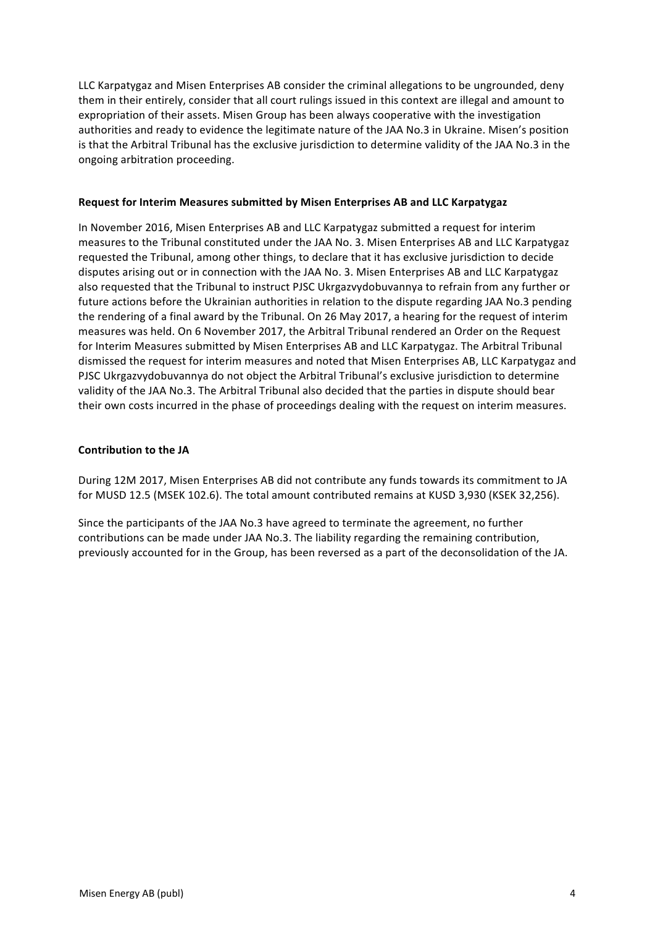LLC Karpatygaz and Misen Enterprises AB consider the criminal allegations to be ungrounded, deny them in their entirely, consider that all court rulings issued in this context are illegal and amount to expropriation of their assets. Misen Group has been always cooperative with the investigation authorities and ready to evidence the legitimate nature of the JAA No.3 in Ukraine. Misen's position is that the Arbitral Tribunal has the exclusive jurisdiction to determine validity of the JAA No.3 in the ongoing arbitration proceeding.

#### **Request for Interim Measures submitted by Misen Enterprises AB and LLC Karpatygaz**

In November 2016, Misen Enterprises AB and LLC Karpatygaz submitted a request for interim measures to the Tribunal constituted under the JAA No. 3. Misen Enterprises AB and LLC Karpatygaz requested the Tribunal, among other things, to declare that it has exclusive jurisdiction to decide disputes arising out or in connection with the JAA No. 3. Misen Enterprises AB and LLC Karpatygaz also requested that the Tribunal to instruct PJSC Ukrgazvydobuvannya to refrain from any further or future actions before the Ukrainian authorities in relation to the dispute regarding JAA No.3 pending the rendering of a final award by the Tribunal. On 26 May 2017, a hearing for the request of interim measures was held. On 6 November 2017, the Arbitral Tribunal rendered an Order on the Request for Interim Measures submitted by Misen Enterprises AB and LLC Karpatygaz. The Arbitral Tribunal dismissed the request for interim measures and noted that Misen Enterprises AB, LLC Karpatygaz and PJSC Ukrgazvydobuvannya do not object the Arbitral Tribunal's exclusive jurisdiction to determine validity of the JAA No.3. The Arbitral Tribunal also decided that the parties in dispute should bear their own costs incurred in the phase of proceedings dealing with the request on interim measures.

### **Contribution to the JA**

During 12M 2017, Misen Enterprises AB did not contribute any funds towards its commitment to JA for MUSD 12.5 (MSEK 102.6). The total amount contributed remains at KUSD 3,930 (KSEK 32,256).

Since the participants of the JAA No.3 have agreed to terminate the agreement, no further contributions can be made under JAA No.3. The liability regarding the remaining contribution, previously accounted for in the Group, has been reversed as a part of the deconsolidation of the JA.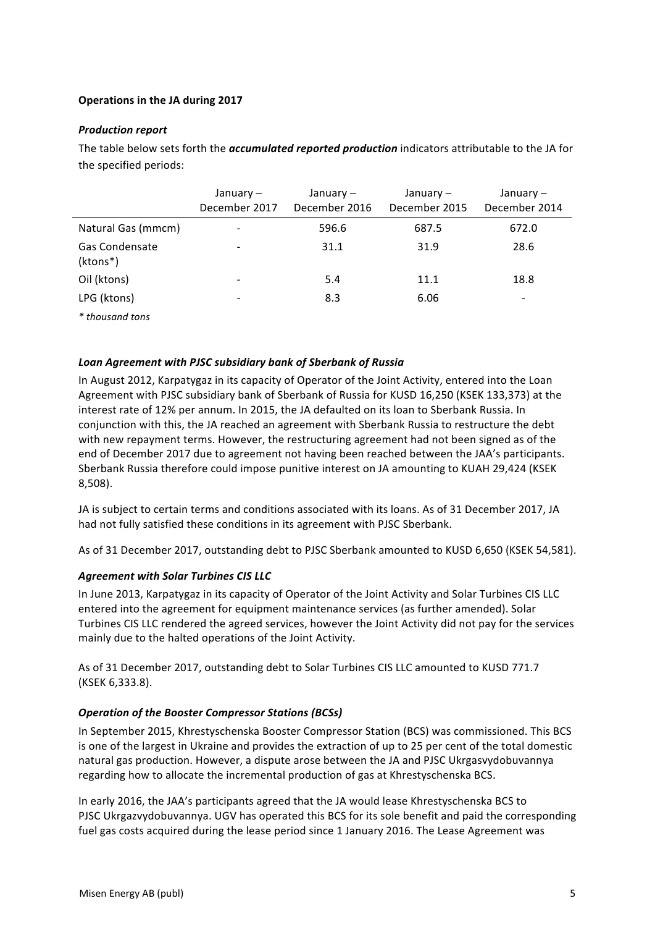## **Operations in the JA during 2017**

## **Production report**

The table below sets forth the *accumulated reported production* indicators attributable to the JA for the specified periods:

|                            | January –<br>December 2017 | January –<br>December 2016 | January –<br>December 2015 | January –<br>December 2014 |
|----------------------------|----------------------------|----------------------------|----------------------------|----------------------------|
| Natural Gas (mmcm)         |                            | 596.6                      | 687.5                      | 672.0                      |
| Gas Condensate<br>(ktons*) |                            | 31.1                       | 31.9                       | 28.6                       |
| Oil (ktons)                |                            | 5.4                        | 11.1                       | 18.8                       |
| LPG (ktons)                |                            | 8.3                        | 6.06                       |                            |
| * thousand tons            |                            |                            |                            |                            |

### Loan Agreement with PJSC subsidiary bank of Sberbank of Russia

In August 2012, Karpatygaz in its capacity of Operator of the Joint Activity, entered into the Loan Agreement with PJSC subsidiary bank of Sberbank of Russia for KUSD 16.250 (KSEK 133.373) at the interest rate of 12% per annum. In 2015, the JA defaulted on its loan to Sberbank Russia. In conjunction with this, the JA reached an agreement with Sberbank Russia to restructure the debt with new repayment terms. However, the restructuring agreement had not been signed as of the end of December 2017 due to agreement not having been reached between the JAA's participants. Sberbank Russia therefore could impose punitive interest on JA amounting to KUAH 29,424 (KSEK 8,508).

JA is subject to certain terms and conditions associated with its loans. As of 31 December 2017, JA had not fully satisfied these conditions in its agreement with PJSC Sberbank.

As of 31 December 2017, outstanding debt to PJSC Sberbank amounted to KUSD 6,650 (KSEK 54,581).

## **Agreement with Solar Turbines CIS LLC**

In June 2013, Karpatygaz in its capacity of Operator of the Joint Activity and Solar Turbines CIS LLC entered into the agreement for equipment maintenance services (as further amended). Solar Turbines CIS LLC rendered the agreed services, however the Joint Activity did not pay for the services mainly due to the halted operations of the Joint Activity.

As of 31 December 2017, outstanding debt to Solar Turbines CIS LLC amounted to KUSD 771.7 (KSEK 6,333.8).

## **Operation of the Booster Compressor Stations (BCSs)**

In September 2015, Khrestyschenska Booster Compressor Station (BCS) was commissioned. This BCS is one of the largest in Ukraine and provides the extraction of up to 25 per cent of the total domestic natural gas production. However, a dispute arose between the JA and PJSC Ukrgasvydobuvannya regarding how to allocate the incremental production of gas at Khrestyschenska BCS.

In early 2016, the JAA's participants agreed that the JA would lease Khrestyschenska BCS to PJSC Ukrgazvydobuvannya. UGV has operated this BCS for its sole benefit and paid the corresponding fuel gas costs acquired during the lease period since 1 January 2016. The Lease Agreement was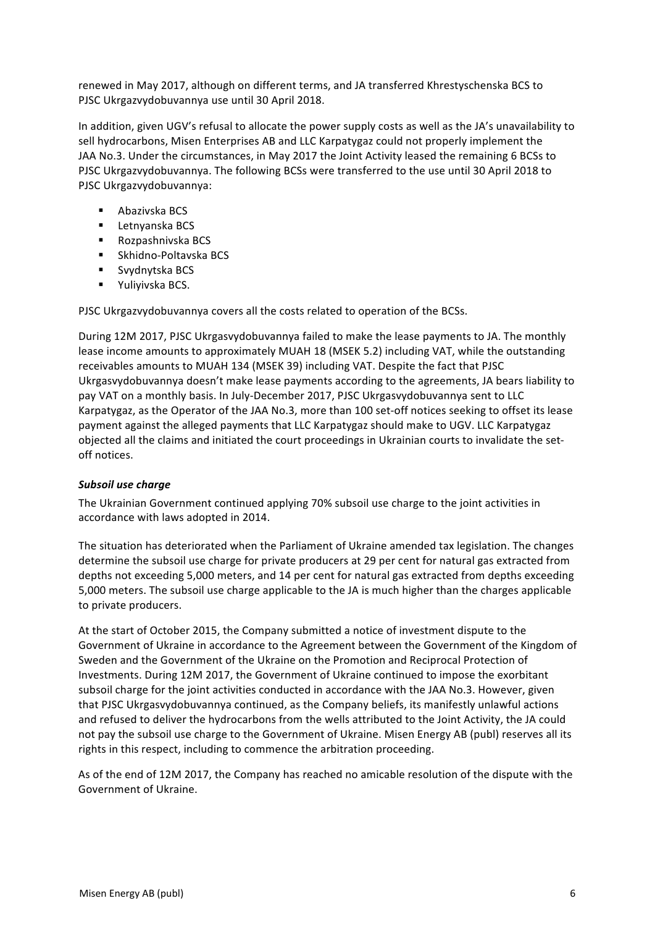renewed in May 2017, although on different terms, and JA transferred Khrestyschenska BCS to PJSC Ukrgazvydobuvannya use until 30 April 2018.

In addition, given UGV's refusal to allocate the power supply costs as well as the JA's unavailability to sell hydrocarbons, Misen Enterprises AB and LLC Karpatygaz could not properly implement the JAA No.3. Under the circumstances, in May 2017 the Joint Activity leased the remaining 6 BCSs to PJSC Ukrgazvydobuvannya. The following BCSs were transferred to the use until 30 April 2018 to PJSC Ukrgazvydobuvannya:

- Abazivska BCS
- Letnyanska BCS
- Rozpashnivska BCS
- Skhidno-Poltavska BCS
- Svydnytska BCS
- Yuliyivska BCS.

PJSC Ukrgazvydobuvannya covers all the costs related to operation of the BCSs.

During 12M 2017, PJSC Ukrgasvydobuvannya failed to make the lease payments to JA. The monthly lease income amounts to approximately MUAH 18 (MSEK 5.2) including VAT, while the outstanding receivables amounts to MUAH 134 (MSEK 39) including VAT. Despite the fact that PJSC Ukrgasvydobuvannya doesn't make lease payments according to the agreements, JA bears liability to pay VAT on a monthly basis. In July-December 2017, PJSC Ukrgasvydobuvannya sent to LLC Karpatygaz, as the Operator of the JAA No.3, more than 100 set-off notices seeking to offset its lease payment against the alleged payments that LLC Karpatygaz should make to UGV. LLC Karpatygaz objected all the claims and initiated the court proceedings in Ukrainian courts to invalidate the setoff notices.

## **Subsoil use charge**

The Ukrainian Government continued applying 70% subsoil use charge to the joint activities in accordance with laws adopted in 2014.

The situation has deteriorated when the Parliament of Ukraine amended tax legislation. The changes determine the subsoil use charge for private producers at 29 per cent for natural gas extracted from depths not exceeding 5,000 meters, and 14 per cent for natural gas extracted from depths exceeding 5,000 meters. The subsoil use charge applicable to the JA is much higher than the charges applicable to private producers.

At the start of October 2015, the Company submitted a notice of investment dispute to the Government of Ukraine in accordance to the Agreement between the Government of the Kingdom of Sweden and the Government of the Ukraine on the Promotion and Reciprocal Protection of Investments. During 12M 2017, the Government of Ukraine continued to impose the exorbitant subsoil charge for the joint activities conducted in accordance with the JAA No.3. However, given that PJSC Ukrgasvydobuvannya continued, as the Company beliefs, its manifestly unlawful actions and refused to deliver the hydrocarbons from the wells attributed to the Joint Activity, the JA could not pay the subsoil use charge to the Government of Ukraine. Misen Energy AB (publ) reserves all its rights in this respect, including to commence the arbitration proceeding.

As of the end of 12M 2017, the Company has reached no amicable resolution of the dispute with the Government of Ukraine.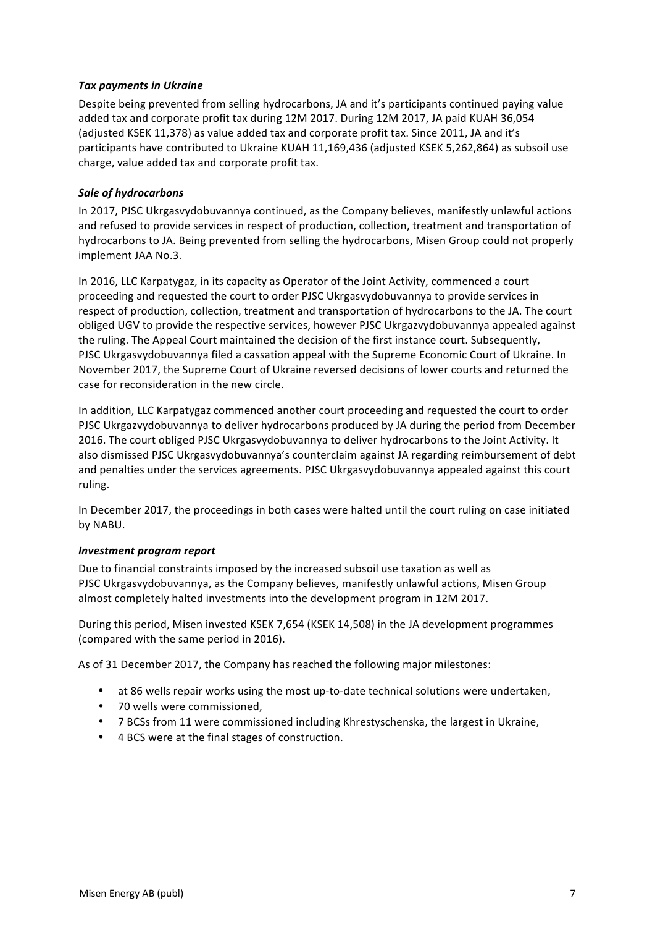## **Tax payments in Ukraine**

Despite being prevented from selling hydrocarbons, JA and it's participants continued paying value added tax and corporate profit tax during 12M 2017. During 12M 2017, JA paid KUAH 36,054 (adjusted KSEK 11,378) as value added tax and corporate profit tax. Since 2011, JA and it's participants have contributed to Ukraine KUAH 11,169,436 (adjusted KSEK 5,262,864) as subsoil use charge, value added tax and corporate profit tax.

## **Sale of hydrocarbons**

In 2017, PJSC Ukrgasvydobuvannya continued, as the Company believes, manifestly unlawful actions and refused to provide services in respect of production, collection, treatment and transportation of hydrocarbons to JA. Being prevented from selling the hydrocarbons, Misen Group could not properly implement JAA No.3.

In 2016, LLC Karpatygaz, in its capacity as Operator of the Joint Activity, commenced a court proceeding and requested the court to order PJSC Ukrgasvydobuvannya to provide services in respect of production, collection, treatment and transportation of hydrocarbons to the JA. The court obliged UGV to provide the respective services, however PJSC Ukrgazvydobuvannya appealed against the ruling. The Appeal Court maintained the decision of the first instance court. Subsequently, PJSC Ukrgasvydobuvannya filed a cassation appeal with the Supreme Economic Court of Ukraine. In November 2017, the Supreme Court of Ukraine reversed decisions of lower courts and returned the case for reconsideration in the new circle.

In addition, LLC Karpatygaz commenced another court proceeding and requested the court to order PJSC Ukrgazvydobuvannya to deliver hydrocarbons produced by JA during the period from December 2016. The court obliged PJSC Ukrgasvydobuvannya to deliver hydrocarbons to the Joint Activity. It also dismissed PJSC Ukrgasvydobuvannya's counterclaim against JA regarding reimbursement of debt and penalties under the services agreements. PJSC Ukrgasvydobuvannya appealed against this court ruling. 

In December 2017, the proceedings in both cases were halted until the court ruling on case initiated by NABU.

### *Investment program report*

Due to financial constraints imposed by the increased subsoil use taxation as well as PJSC Ukrgasvydobuvannya, as the Company believes, manifestly unlawful actions, Misen Group almost completely halted investments into the development program in 12M 2017.

During this period, Misen invested KSEK 7,654 (KSEK 14,508) in the JA development programmes (compared with the same period in 2016).

As of 31 December 2017, the Company has reached the following major milestones:

- at 86 wells repair works using the most up-to-date technical solutions were undertaken,
- 70 wells were commissioned,
- 7 BCSs from 11 were commissioned including Khrestyschenska, the largest in Ukraine,
- 4 BCS were at the final stages of construction.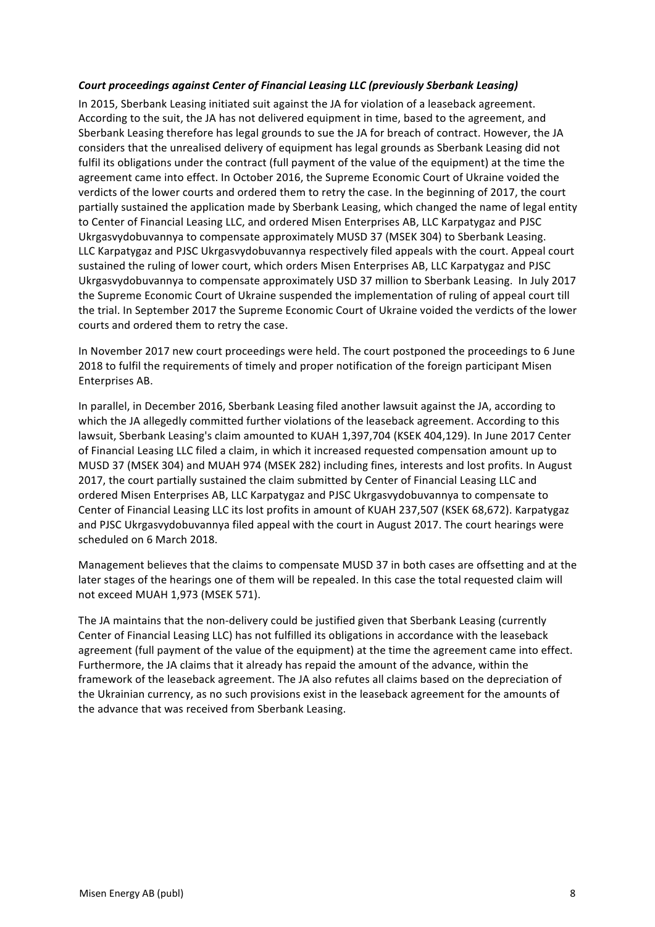### Court proceedings against Center of Financial Leasing LLC (previously Sberbank Leasing)

In 2015, Sberbank Leasing initiated suit against the JA for violation of a leaseback agreement. According to the suit, the JA has not delivered equipment in time, based to the agreement, and Sberbank Leasing therefore has legal grounds to sue the JA for breach of contract. However, the JA considers that the unrealised delivery of equipment has legal grounds as Sberbank Leasing did not fulfil its obligations under the contract (full payment of the value of the equipment) at the time the agreement came into effect. In October 2016, the Supreme Economic Court of Ukraine voided the verdicts of the lower courts and ordered them to retry the case. In the beginning of 2017, the court partially sustained the application made by Sberbank Leasing, which changed the name of legal entity to Center of Financial Leasing LLC, and ordered Misen Enterprises AB, LLC Karpatygaz and PJSC Ukrgasvydobuvannya to compensate approximately MUSD 37 (MSEK 304) to Sberbank Leasing. LLC Karpatygaz and PJSC Ukrgasvydobuvannya respectively filed appeals with the court. Appeal court sustained the ruling of lower court, which orders Misen Enterprises AB, LLC Karpatygaz and PJSC Ukrgasvydobuvannya to compensate approximately USD 37 million to Sberbank Leasing. In July 2017 the Supreme Economic Court of Ukraine suspended the implementation of ruling of appeal court till the trial. In September 2017 the Supreme Economic Court of Ukraine voided the verdicts of the lower courts and ordered them to retry the case.

In November 2017 new court proceedings were held. The court postponed the proceedings to 6 June 2018 to fulfil the requirements of timely and proper notification of the foreign participant Misen Enterprises AB.

In parallel, in December 2016, Sberbank Leasing filed another lawsuit against the JA, according to which the JA allegedly committed further violations of the leaseback agreement. According to this lawsuit, Sberbank Leasing's claim amounted to KUAH 1,397,704 (KSEK 404,129). In June 2017 Center of Financial Leasing LLC filed a claim, in which it increased requested compensation amount up to MUSD 37 (MSEK 304) and MUAH 974 (MSEK 282) including fines, interests and lost profits. In August 2017, the court partially sustained the claim submitted by Center of Financial Leasing LLC and ordered Misen Enterprises AB, LLC Karpatygaz and PJSC Ukrgasvydobuvannya to compensate to Center of Financial Leasing LLC its lost profits in amount of KUAH 237,507 (KSEK 68,672). Karpatygaz and PJSC Ukrgasvydobuvannya filed appeal with the court in August 2017. The court hearings were scheduled on 6 March 2018.

Management believes that the claims to compensate MUSD 37 in both cases are offsetting and at the later stages of the hearings one of them will be repealed. In this case the total requested claim will not exceed MUAH 1,973 (MSEK 571).

The JA maintains that the non-delivery could be justified given that Sberbank Leasing (currently Center of Financial Leasing LLC) has not fulfilled its obligations in accordance with the leaseback agreement (full payment of the value of the equipment) at the time the agreement came into effect. Furthermore, the JA claims that it already has repaid the amount of the advance, within the framework of the leaseback agreement. The JA also refutes all claims based on the depreciation of the Ukrainian currency, as no such provisions exist in the leaseback agreement for the amounts of the advance that was received from Sberbank Leasing.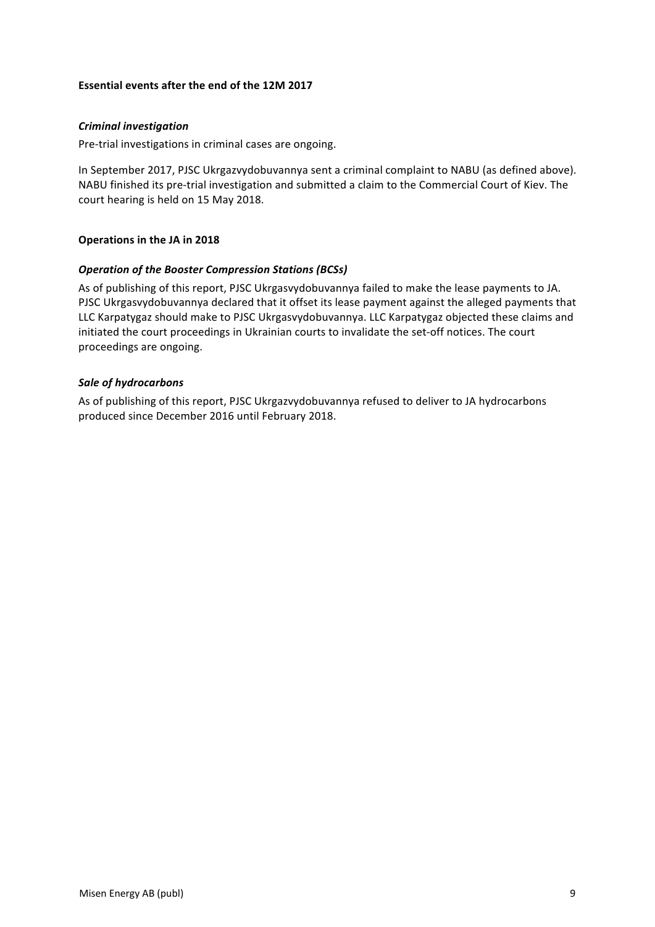### **Essential events after the end of the 12M 2017**

#### *Criminal investigation*

Pre-trial investigations in criminal cases are ongoing.

In September 2017, PJSC Ukrgazvydobuvannya sent a criminal complaint to NABU (as defined above). NABU finished its pre-trial investigation and submitted a claim to the Commercial Court of Kiev. The court hearing is held on 15 May 2018.

#### **Operations in the JA in 2018**

#### **Operation of the Booster Compression Stations (BCSs)**

As of publishing of this report, PJSC Ukrgasvydobuvannya failed to make the lease payments to JA. PJSC Ukrgasvydobuvannya declared that it offset its lease payment against the alleged payments that LLC Karpatygaz should make to PJSC Ukrgasvydobuvannya. LLC Karpatygaz objected these claims and initiated the court proceedings in Ukrainian courts to invalidate the set-off notices. The court proceedings are ongoing.

#### *Sale of hydrocarbons*

As of publishing of this report, PJSC Ukrgazvydobuvannya refused to deliver to JA hydrocarbons produced since December 2016 until February 2018.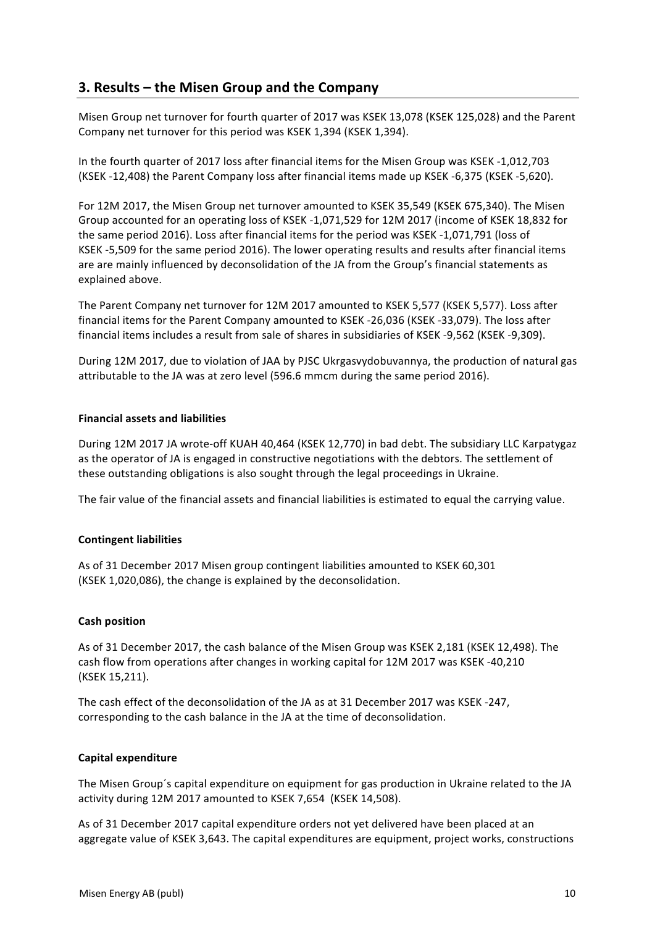# **3. Results – the Misen Group and the Company**

Misen Group net turnover for fourth quarter of 2017 was KSEK 13,078 (KSEK 125,028) and the Parent Company net turnover for this period was KSEK 1,394 (KSEK 1,394).

In the fourth quarter of 2017 loss after financial items for the Misen Group was KSEK -1,012,703 (KSEK -12,408) the Parent Company loss after financial items made up KSEK -6,375 (KSEK -5,620).

For 12M 2017, the Misen Group net turnover amounted to KSEK 35,549 (KSEK 675,340). The Misen Group accounted for an operating loss of KSEK -1,071,529 for 12M 2017 (income of KSEK 18,832 for the same period 2016). Loss after financial items for the period was KSEK -1,071,791 (loss of KSEK -5,509 for the same period 2016). The lower operating results and results after financial items are are mainly influenced by deconsolidation of the JA from the Group's financial statements as explained above.

The Parent Company net turnover for 12M 2017 amounted to KSEK 5,577 (KSEK 5,577). Loss after financial items for the Parent Company amounted to KSEK -26,036 (KSEK -33,079). The loss after financial items includes a result from sale of shares in subsidiaries of KSEK -9,562 (KSEK -9,309).

During 12M 2017, due to violation of JAA by PJSC Ukrgasvydobuvannya, the production of natural gas attributable to the JA was at zero level (596.6 mmcm during the same period 2016).

### **Financial assets and liabilities**

During 12M 2017 JA wrote-off KUAH 40,464 (KSEK 12,770) in bad debt. The subsidiary LLC Karpatygaz as the operator of JA is engaged in constructive negotiations with the debtors. The settlement of these outstanding obligations is also sought through the legal proceedings in Ukraine.

The fair value of the financial assets and financial liabilities is estimated to equal the carrying value.

### **Contingent liabilities**

As of 31 December 2017 Misen group contingent liabilities amounted to KSEK 60,301 (KSEK 1,020,086), the change is explained by the deconsolidation.

### **Cash position**

As of 31 December 2017, the cash balance of the Misen Group was KSEK 2,181 (KSEK 12,498). The cash flow from operations after changes in working capital for 12M 2017 was KSEK -40,210 (KSEK 15,211).

The cash effect of the deconsolidation of the JA as at 31 December 2017 was KSEK -247, corresponding to the cash balance in the JA at the time of deconsolidation.

### **Capital expenditure**

The Misen Group's capital expenditure on equipment for gas production in Ukraine related to the JA activity during 12M 2017 amounted to KSEK 7,654 (KSEK 14,508).

As of 31 December 2017 capital expenditure orders not yet delivered have been placed at an aggregate value of KSEK 3,643. The capital expenditures are equipment, project works, constructions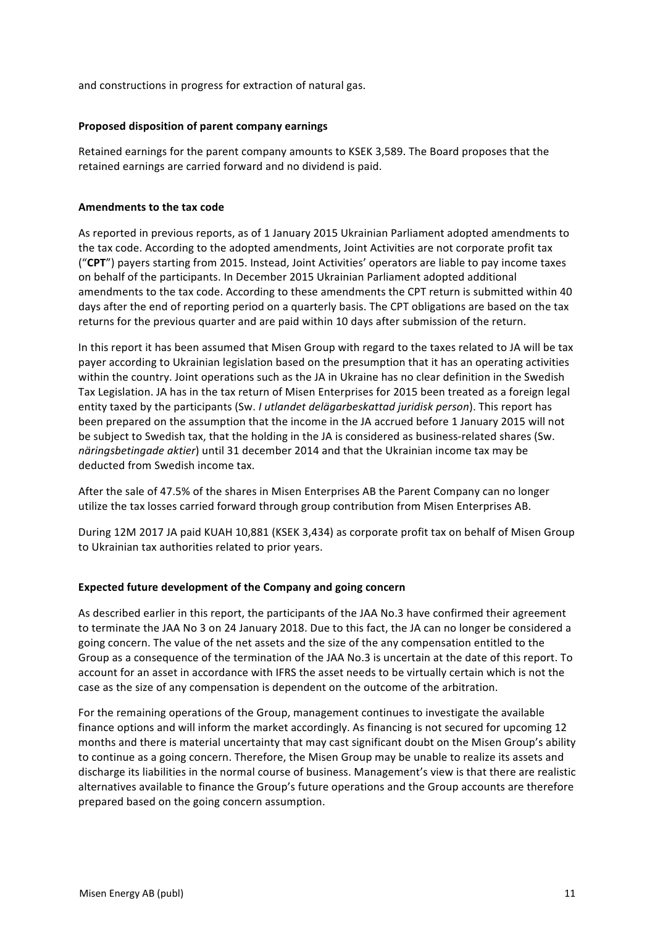and constructions in progress for extraction of natural gas.

#### **Proposed disposition of parent company earnings**

Retained earnings for the parent company amounts to KSEK 3,589. The Board proposes that the retained earnings are carried forward and no dividend is paid.

#### **Amendments to the tax code**

As reported in previous reports, as of 1 January 2015 Ukrainian Parliament adopted amendments to the tax code. According to the adopted amendments, Joint Activities are not corporate profit tax ("CPT") payers starting from 2015. Instead, Joint Activities' operators are liable to pay income taxes on behalf of the participants. In December 2015 Ukrainian Parliament adopted additional amendments to the tax code. According to these amendments the CPT return is submitted within 40 days after the end of reporting period on a quarterly basis. The CPT obligations are based on the tax returns for the previous quarter and are paid within 10 days after submission of the return.

In this report it has been assumed that Misen Group with regard to the taxes related to JA will be tax payer according to Ukrainian legislation based on the presumption that it has an operating activities within the country. Joint operations such as the JA in Ukraine has no clear definition in the Swedish Tax Legislation. JA has in the tax return of Misen Enterprises for 2015 been treated as a foreign legal entity taxed by the participants (Sw. *I utlandet delägarbeskattad juridisk person*). This report has been prepared on the assumption that the income in the JA accrued before 1 January 2015 will not be subject to Swedish tax, that the holding in the JA is considered as business-related shares (Sw. *näringsbetingade aktier*) until 31 december 2014 and that the Ukrainian income tax may be deducted from Swedish income tax.

After the sale of 47.5% of the shares in Misen Enterprises AB the Parent Company can no longer utilize the tax losses carried forward through group contribution from Misen Enterprises AB.

During 12M 2017 JA paid KUAH 10,881 (KSEK 3,434) as corporate profit tax on behalf of Misen Group to Ukrainian tax authorities related to prior years.

#### **Expected future development of the Company and going concern**

As described earlier in this report, the participants of the JAA No.3 have confirmed their agreement to terminate the JAA No 3 on 24 January 2018. Due to this fact, the JA can no longer be considered a going concern. The value of the net assets and the size of the any compensation entitled to the Group as a consequence of the termination of the JAA No.3 is uncertain at the date of this report. To account for an asset in accordance with IFRS the asset needs to be virtually certain which is not the case as the size of any compensation is dependent on the outcome of the arbitration.

For the remaining operations of the Group, management continues to investigate the available finance options and will inform the market accordingly. As financing is not secured for upcoming 12 months and there is material uncertainty that may cast significant doubt on the Misen Group's ability to continue as a going concern. Therefore, the Misen Group may be unable to realize its assets and discharge its liabilities in the normal course of business. Management's view is that there are realistic alternatives available to finance the Group's future operations and the Group accounts are therefore prepared based on the going concern assumption.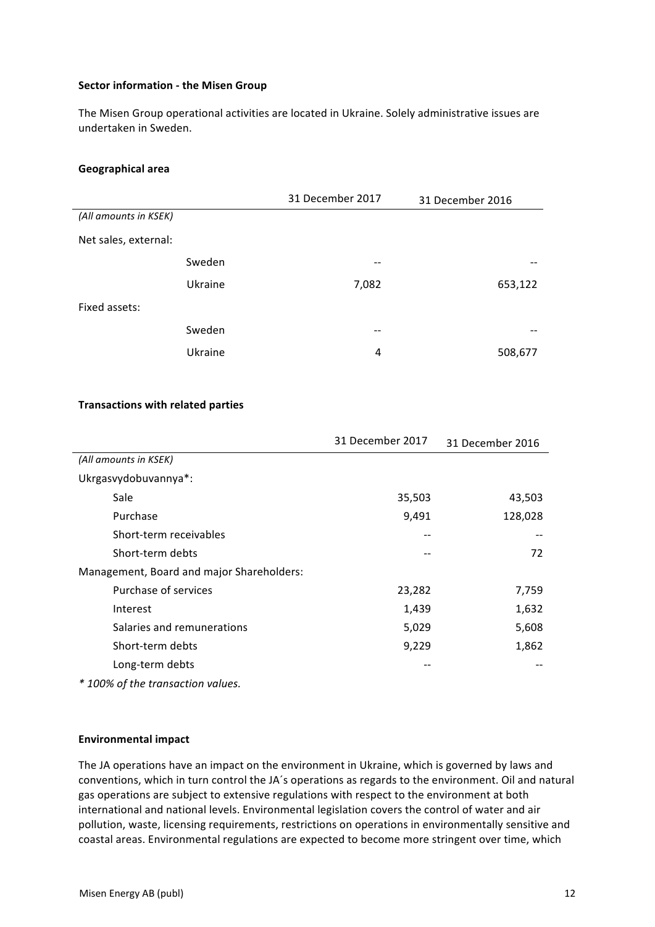#### **Sector information - the Misen Group**

The Misen Group operational activities are located in Ukraine. Solely administrative issues are undertaken in Sweden.

#### **Geographical area**

|                       |         | 31 December 2017 | 31 December 2016 |
|-----------------------|---------|------------------|------------------|
| (All amounts in KSEK) |         |                  |                  |
| Net sales, external:  |         |                  |                  |
|                       | Sweden  | --               |                  |
|                       | Ukraine | 7,082            | 653,122          |
| Fixed assets:         |         |                  |                  |
|                       | Sweden  | --               | --               |
|                       | Ukraine | 4                | 508,677          |

### **Transactions with related parties**

|                                           | 31 December 2017 | 31 December 2016 |
|-------------------------------------------|------------------|------------------|
| (All amounts in KSEK)                     |                  |                  |
| Ukrgasvydobuvannya*:                      |                  |                  |
| Sale                                      | 35,503           | 43,503           |
| Purchase                                  | 9,491            | 128,028          |
| Short-term receivables                    |                  |                  |
| Short-term debts                          |                  | 72               |
| Management, Board and major Shareholders: |                  |                  |
| Purchase of services                      | 23,282           | 7,759            |
| Interest                                  | 1,439            | 1,632            |
| Salaries and remunerations                | 5,029            | 5,608            |
| Short-term debts                          | 9,229            | 1,862            |
| Long-term debts                           |                  |                  |

*\* 100% of the transaction values.*

#### **Environmental impact**

The JA operations have an impact on the environment in Ukraine, which is governed by laws and conventions, which in turn control the JA's operations as regards to the environment. Oil and natural gas operations are subject to extensive regulations with respect to the environment at both international and national levels. Environmental legislation covers the control of water and air pollution, waste, licensing requirements, restrictions on operations in environmentally sensitive and coastal areas. Environmental regulations are expected to become more stringent over time, which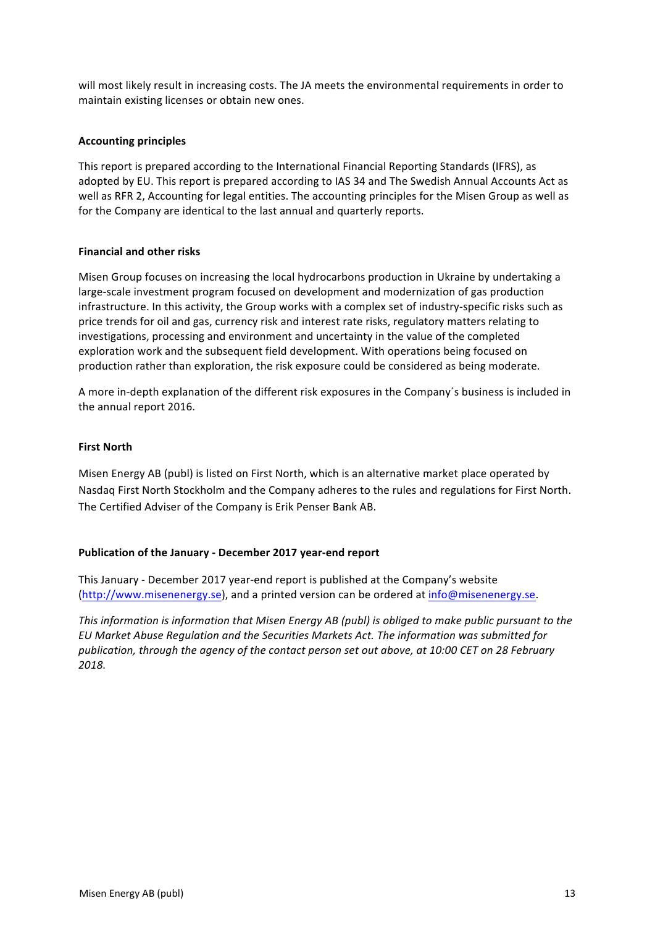will most likely result in increasing costs. The JA meets the environmental requirements in order to maintain existing licenses or obtain new ones.

## **Accounting principles**

This report is prepared according to the International Financial Reporting Standards (IFRS), as adopted by EU. This report is prepared according to IAS 34 and The Swedish Annual Accounts Act as well as RFR 2, Accounting for legal entities. The accounting principles for the Misen Group as well as for the Company are identical to the last annual and quarterly reports.

### **Financial and other risks**

Misen Group focuses on increasing the local hydrocarbons production in Ukraine by undertaking a large-scale investment program focused on development and modernization of gas production infrastructure. In this activity, the Group works with a complex set of industry-specific risks such as price trends for oil and gas, currency risk and interest rate risks, regulatory matters relating to investigations, processing and environment and uncertainty in the value of the completed exploration work and the subsequent field development. With operations being focused on production rather than exploration, the risk exposure could be considered as being moderate.

A more in-depth explanation of the different risk exposures in the Company's business is included in the annual report 2016.

## **First North**

Misen Energy AB (publ) is listed on First North, which is an alternative market place operated by Nasdaq First North Stockholm and the Company adheres to the rules and regulations for First North. The Certified Adviser of the Company is Erik Penser Bank AB.

## **Publication of the January - December 2017 year-end report**

This January - December 2017 year-end report is published at the Company's website (http://www.misenenergy.se), and a printed version can be ordered at info@misenenergy.se.

*This information is information that Misen Energy AB (publ) is obliged to make public pursuant to the EU Market Abuse Regulation and the Securities Markets Act. The information was submitted for*  publication, through the agency of the contact person set out above, at 10:00 CET on 28 February *2018.*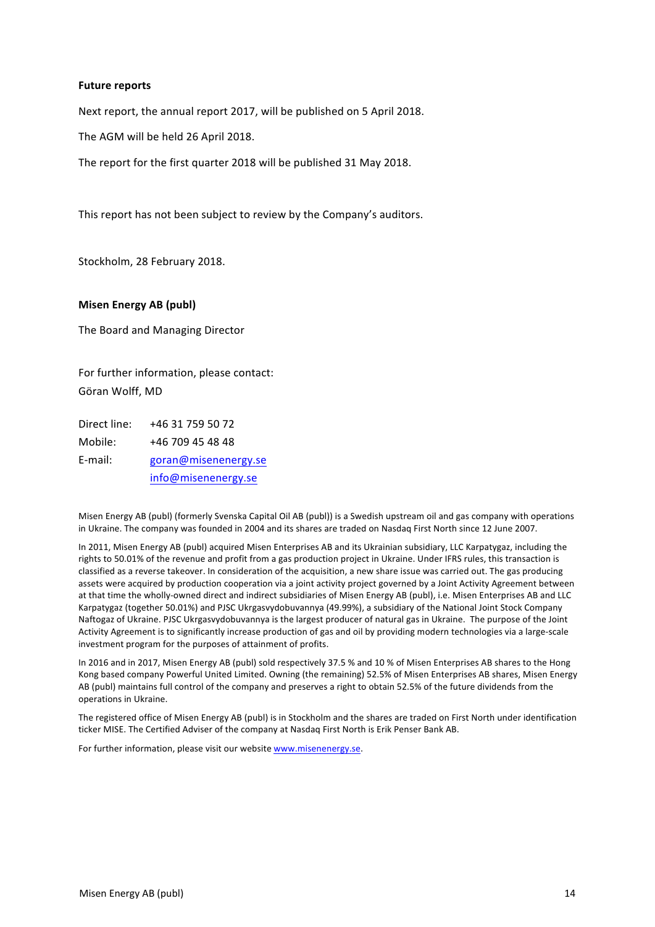#### **Future reports**

Next report, the annual report 2017, will be published on 5 April 2018.

The AGM will be held 26 April 2018.

The report for the first quarter 2018 will be published 31 May 2018.

This report has not been subject to review by the Company's auditors.

Stockholm, 28 February 2018.

#### **Misen Energy AB (publ)**

The Board and Managing Director

For further information, please contact: Göran Wolff, MD

| Direct line: | +46 31 759 50 72     |
|--------------|----------------------|
| Mobile:      | +46 709 45 48 48     |
| E-mail:      | goran@misenenergy.se |
|              | info@misenenergy.se  |

Misen Energy AB (publ) (formerly Svenska Capital Oil AB (publ)) is a Swedish upstream oil and gas company with operations in Ukraine. The company was founded in 2004 and its shares are traded on Nasdaq First North since 12 June 2007.

In 2011, Misen Energy AB (publ) acquired Misen Enterprises AB and its Ukrainian subsidiary, LLC Karpatygaz, including the rights to 50.01% of the revenue and profit from a gas production project in Ukraine. Under IFRS rules, this transaction is classified as a reverse takeover. In consideration of the acquisition, a new share issue was carried out. The gas producing assets were acquired by production cooperation via a joint activity project governed by a Joint Activity Agreement between at that time the wholly-owned direct and indirect subsidiaries of Misen Energy AB (publ), i.e. Misen Enterprises AB and LLC Karpatygaz (together 50.01%) and PJSC Ukrgasvydobuvannya (49.99%), a subsidiary of the National Joint Stock Company Naftogaz of Ukraine. PJSC Ukrgasvydobuvannya is the largest producer of natural gas in Ukraine. The purpose of the Joint Activity Agreement is to significantly increase production of gas and oil by providing modern technologies via a large-scale investment program for the purposes of attainment of profits.

In 2016 and in 2017, Misen Energy AB (publ) sold respectively 37.5 % and 10 % of Misen Enterprises AB shares to the Hong Kong based company Powerful United Limited. Owning (the remaining) 52.5% of Misen Enterprises AB shares, Misen Energy AB (publ) maintains full control of the company and preserves a right to obtain 52.5% of the future dividends from the operations in Ukraine.

The registered office of Misen Energy AB (publ) is in Stockholm and the shares are traded on First North under identification ticker MISE. The Certified Adviser of the company at Nasdaq First North is Erik Penser Bank AB.

For further information, please visit our website www.misenenergy.se.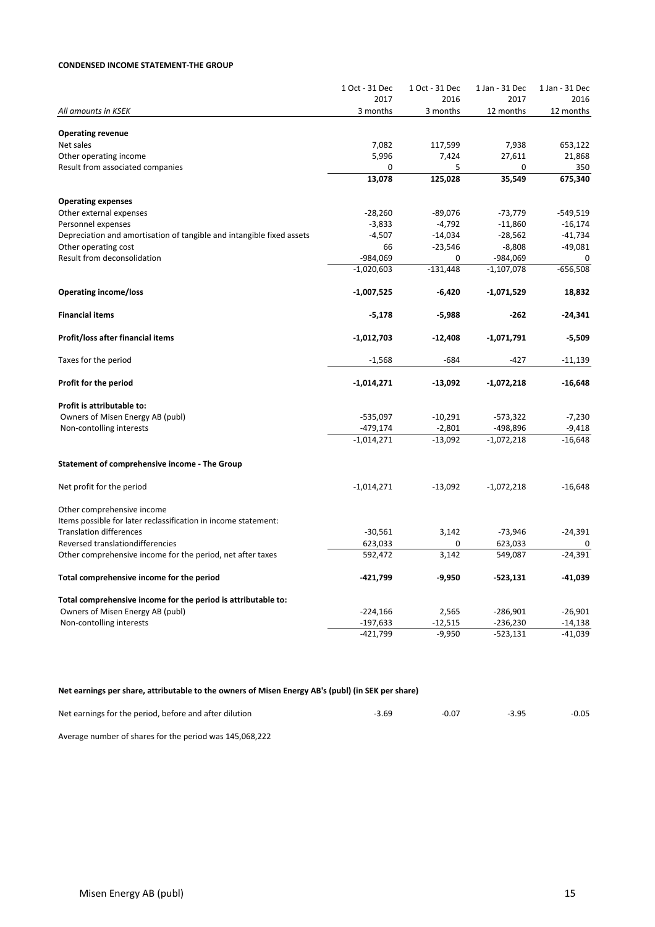#### **CONDENSED INCOME STATEMENT-THE GROUP**

|                                                                       | 1 Oct - 31 Dec | 1 Oct - 31 Dec | 1 Jan - 31 Dec | 1 Jan - 31 Dec |
|-----------------------------------------------------------------------|----------------|----------------|----------------|----------------|
|                                                                       | 2017           | 2016           | 2017           | 2016           |
| All amounts in KSEK                                                   | 3 months       | 3 months       | 12 months      | 12 months      |
| <b>Operating revenue</b>                                              |                |                |                |                |
| Net sales                                                             | 7,082          | 117,599        | 7,938          | 653,122        |
| Other operating income                                                | 5,996          | 7,424          | 27,611         | 21,868         |
| Result from associated companies                                      | 0              | 5              | 0              | 350            |
|                                                                       | 13,078         | 125,028        | 35,549         | 675,340        |
|                                                                       |                |                |                |                |
| <b>Operating expenses</b>                                             |                |                |                |                |
| Other external expenses                                               | $-28,260$      | $-89,076$      | $-73,779$      | $-549,519$     |
| Personnel expenses                                                    | $-3,833$       | $-4,792$       | $-11,860$      | $-16,174$      |
| Depreciation and amortisation of tangible and intangible fixed assets | $-4,507$       | $-14,034$      | $-28,562$      | $-41,734$      |
| Other operating cost                                                  | 66             | $-23,546$      | $-8,808$       | $-49,081$      |
| Result from deconsolidation                                           | -984,069       | 0              | $-984,069$     | 0              |
|                                                                       | $-1,020,603$   | $-131,448$     | $-1,107,078$   | $-656,508$     |
| <b>Operating income/loss</b>                                          | $-1,007,525$   | $-6,420$       | $-1,071,529$   | 18,832         |
| <b>Financial items</b>                                                | $-5,178$       | $-5,988$       | $-262$         | $-24,341$      |
| Profit/loss after financial items                                     | $-1,012,703$   | $-12,408$      | $-1,071,791$   | $-5,509$       |
| Taxes for the period                                                  | $-1,568$       | $-684$         | -427           | $-11,139$      |
| Profit for the period                                                 | $-1,014,271$   | $-13,092$      | $-1,072,218$   | $-16,648$      |
| Profit is attributable to:                                            |                |                |                |                |
| Owners of Misen Energy AB (publ)                                      | $-535,097$     | $-10,291$      | $-573,322$     | $-7,230$       |
| Non-contolling interests                                              | $-479,174$     | $-2,801$       | -498,896       | $-9,418$       |
|                                                                       | $-1,014,271$   | $-13,092$      | $-1,072,218$   | $-16,648$      |
| Statement of comprehensive income - The Group                         |                |                |                |                |
| Net profit for the period                                             | $-1,014,271$   | $-13,092$      | $-1,072,218$   | $-16,648$      |
| Other comprehensive income                                            |                |                |                |                |
| Items possible for later reclassification in income statement:        |                |                |                |                |
| <b>Translation differences</b>                                        | $-30,561$      | 3,142          | -73,946        | $-24,391$      |
| Reversed translationdifferencies                                      | 623,033        | $\Omega$       | 623,033        | 0              |
| Other comprehensive income for the period, net after taxes            | 592,472        | 3,142          | 549,087        | $-24,391$      |
| Total comprehensive income for the period                             | -421,799       | -9,950         | $-523,131$     | -41,039        |
| Total comprehensive income for the period is attributable to:         |                |                |                |                |
| Owners of Misen Energy AB (publ)                                      | $-224,166$     | 2,565          | $-286,901$     | $-26,901$      |
| Non-contolling interests                                              | $-197,633$     | $-12,515$      | $-236,230$     | $-14,138$      |
|                                                                       | $-421,799$     | $-9,950$       | $-523,131$     | $-41,039$      |
|                                                                       |                |                |                |                |

Net earnings per share, attributable to the owners of Misen Energy AB's (publ) (in SEK per share)

| Net earnings for the period, before and after dilution | -0.07 | $-0.05$ |
|--------------------------------------------------------|-------|---------|
|                                                        |       |         |

Average number of shares for the period was 145,068,222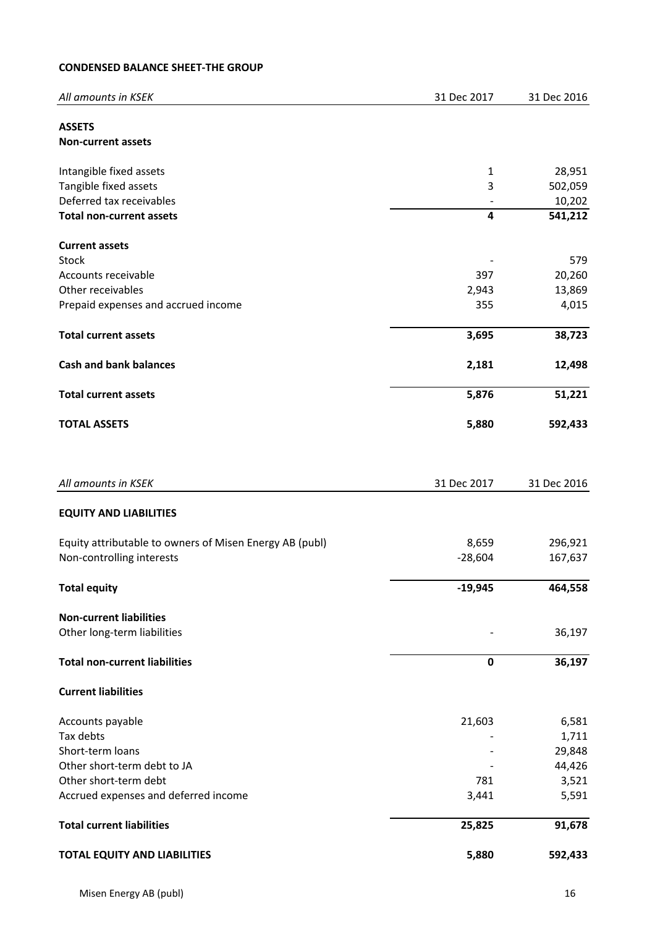# **CONDENSED BALANCE SHEET-THE GROUP**

| All amounts in KSEK                                     | 31 Dec 2017  | 31 Dec 2016 |
|---------------------------------------------------------|--------------|-------------|
| <b>ASSETS</b>                                           |              |             |
| <b>Non-current assets</b>                               |              |             |
| Intangible fixed assets                                 | $\mathbf{1}$ | 28,951      |
| Tangible fixed assets                                   | 3            | 502,059     |
| Deferred tax receivables                                |              | 10,202      |
| <b>Total non-current assets</b>                         | 4            | 541,212     |
| <b>Current assets</b>                                   |              |             |
| Stock                                                   |              | 579         |
| Accounts receivable                                     | 397          | 20,260      |
| Other receivables                                       | 2,943        | 13,869      |
| Prepaid expenses and accrued income                     | 355          | 4,015       |
| <b>Total current assets</b>                             | 3,695        | 38,723      |
| <b>Cash and bank balances</b>                           | 2,181        | 12,498      |
| <b>Total current assets</b>                             | 5,876        | 51,221      |
| <b>TOTAL ASSETS</b>                                     | 5,880        | 592,433     |
|                                                         |              |             |
| All amounts in KSEK                                     | 31 Dec 2017  | 31 Dec 2016 |
| <b>EQUITY AND LIABILITIES</b>                           |              |             |
| Equity attributable to owners of Misen Energy AB (publ) | 8,659        | 296,921     |
| Non-controlling interests                               | $-28,604$    | 167,637     |
| <b>Total equity</b>                                     | $-19,945$    | 464,558     |
| <b>Non-current liabilities</b>                          |              |             |
| Other long-term liabilities                             |              | 36,197      |
| <b>Total non-current liabilities</b>                    | 0            | 36,197      |
| <b>Current liabilities</b>                              |              |             |
| Accounts payable                                        | 21,603       | 6,581       |
| Tax debts                                               |              | 1,711       |
| Short-term loans                                        |              | 29,848      |
| Other short-term debt to JA                             |              | 44,426      |
| Other short-term debt                                   | 781          | 3,521       |
| Accrued expenses and deferred income                    | 3,441        | 5,591       |
| <b>Total current liabilities</b>                        | 25,825       | 91,678      |
| <b>TOTAL EQUITY AND LIABILITIES</b>                     | 5,880        | 592,433     |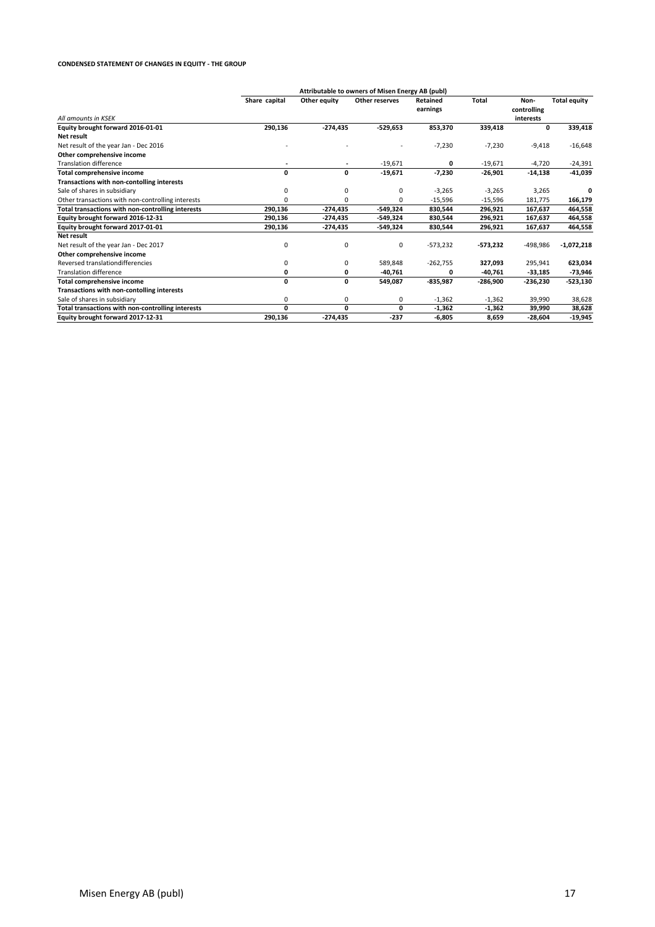#### **CONDENSED STATEMENT OF CHANGES IN EQUITY - THE GROUP**

|                                                   |               |              | Attributable to owners of Misen Energy AB (publ) |            |              |             |                     |
|---------------------------------------------------|---------------|--------------|--------------------------------------------------|------------|--------------|-------------|---------------------|
|                                                   | Share capital | Other equity | Other reserves                                   | Retained   | <b>Total</b> | Non-        | <b>Total equity</b> |
|                                                   |               |              |                                                  | earnings   |              | controlling |                     |
| All amounts in KSEK                               |               |              |                                                  |            |              | interests   |                     |
| Equity brought forward 2016-01-01                 | 290,136       | $-274,435$   | $-529,653$                                       | 853,370    | 339,418      | 0           | 339,418             |
| <b>Net result</b>                                 |               |              |                                                  |            |              |             |                     |
| Net result of the year Jan - Dec 2016             |               |              |                                                  | $-7,230$   | $-7,230$     | $-9,418$    | $-16,648$           |
| Other comprehensive income                        |               |              |                                                  |            |              |             |                     |
| <b>Translation difference</b>                     |               | ٠            | $-19,671$                                        | 0          | $-19,671$    | $-4,720$    | $-24,391$           |
| Total comprehensive income                        | 0             | 0            | $-19,671$                                        | $-7,230$   | $-26,901$    | $-14,138$   | $-41,039$           |
| Transactions with non-contolling interests        |               |              |                                                  |            |              |             |                     |
| Sale of shares in subsidiary                      | 0             | 0            | 0                                                | $-3,265$   | $-3,265$     | 3,265       | 0                   |
| Other transactions with non-controlling interests | 0             | 0            | 0                                                | $-15,596$  | $-15,596$    | 181,775     | 166,179             |
| Total transactions with non-controlling interests | 290,136       | $-274,435$   | -549,324                                         | 830,544    | 296,921      | 167,637     | 464,558             |
| Equity brought forward 2016-12-31                 | 290,136       | $-274,435$   | $-549,324$                                       | 830,544    | 296,921      | 167,637     | 464,558             |
| Equity brought forward 2017-01-01                 | 290,136       | $-274,435$   | -549,324                                         | 830,544    | 296,921      | 167,637     | 464,558             |
| Net result                                        |               |              |                                                  |            |              |             |                     |
| Net result of the year Jan - Dec 2017             | 0             | 0            | 0                                                | $-573,232$ | -573,232     | -498,986    | $-1,072,218$        |
| Other comprehensive income                        |               |              |                                                  |            |              |             |                     |
| Reversed translationdifferencies                  | 0             | 0            | 589,848                                          | $-262,755$ | 327,093      | 295,941     | 623,034             |
| <b>Translation difference</b>                     | 0             | 0            | $-40,761$                                        | 0          | $-40,761$    | $-33,185$   | $-73,946$           |
| <b>Total comprehensive income</b>                 | 0             | 0            | 549,087                                          | $-835,987$ | $-286,900$   | $-236,230$  | $-523,130$          |
| Transactions with non-contolling interests        |               |              |                                                  |            |              |             |                     |
| Sale of shares in subsidiary                      | 0             | 0            | 0                                                | $-1,362$   | $-1,362$     | 39,990      | 38,628              |
| Total transactions with non-controlling interests | 0             | 0            | 0                                                | $-1,362$   | $-1,362$     | 39,990      | 38,628              |
| Equity brought forward 2017-12-31                 | 290,136       | $-274,435$   | $-237$                                           | -6,805     | 8,659        | $-28,604$   | $-19,945$           |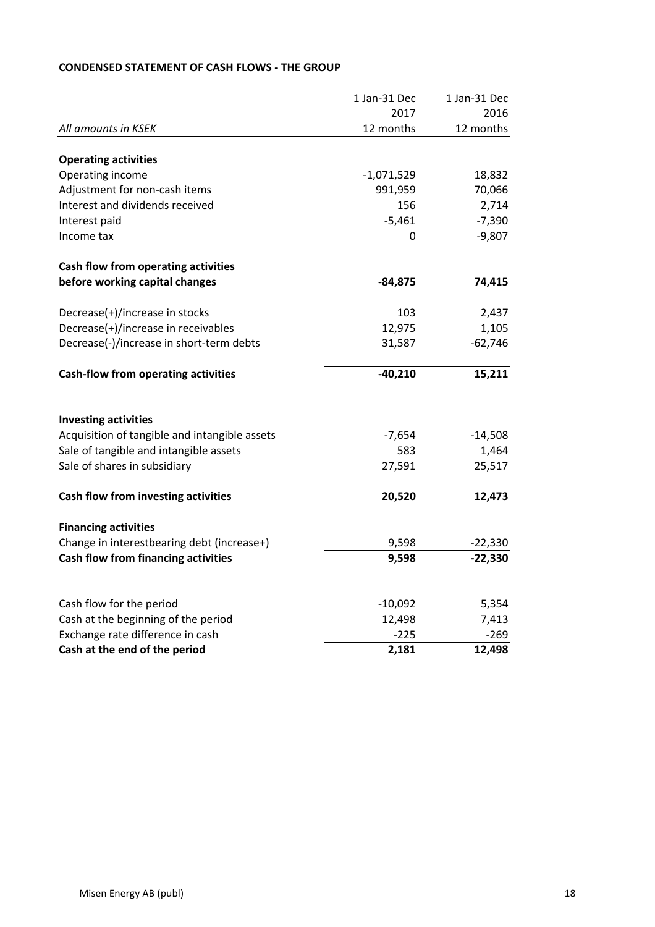|                                               | 1 Jan-31 Dec | 1 Jan-31 Dec |
|-----------------------------------------------|--------------|--------------|
|                                               | 2017         | 2016         |
| All amounts in KSEK                           | 12 months    | 12 months    |
| <b>Operating activities</b>                   |              |              |
| Operating income                              | $-1,071,529$ | 18,832       |
| Adjustment for non-cash items                 | 991,959      | 70,066       |
| Interest and dividends received               | 156          | 2,714        |
| Interest paid                                 | $-5,461$     | $-7,390$     |
| Income tax                                    | 0            | $-9,807$     |
| Cash flow from operating activities           |              |              |
| before working capital changes                | $-84,875$    | 74,415       |
| Decrease(+)/increase in stocks                | 103          | 2,437        |
| Decrease(+)/increase in receivables           | 12,975       | 1,105        |
| Decrease(-)/increase in short-term debts      | 31,587       | $-62,746$    |
| <b>Cash-flow from operating activities</b>    | $-40,210$    | 15,211       |
| <b>Investing activities</b>                   |              |              |
| Acquisition of tangible and intangible assets | $-7,654$     | $-14,508$    |
| Sale of tangible and intangible assets        | 583          | 1,464        |
| Sale of shares in subsidiary                  | 27,591       | 25,517       |
| Cash flow from investing activities           | 20,520       | 12,473       |
| <b>Financing activities</b>                   |              |              |
| Change in interestbearing debt (increase+)    | 9,598        | $-22,330$    |
| <b>Cash flow from financing activities</b>    | 9,598        | $-22,330$    |
|                                               |              |              |
| Cash flow for the period                      | $-10,092$    | 5,354        |
| Cash at the beginning of the period           | 12,498       | 7,413        |
| Exchange rate difference in cash              | $-225$       | $-269$       |
| Cash at the end of the period                 | 2,181        | 12,498       |

# **CONDENSED STATEMENT OF CASH FLOWS - THE GROUP**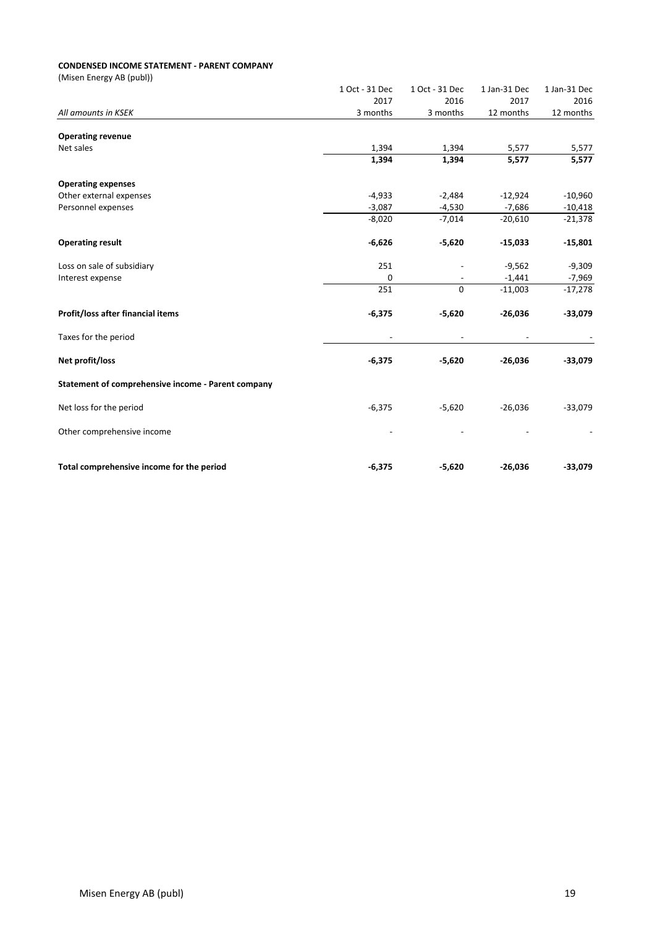#### **CONDENSED INCOME STATEMENT - PARENT COMPANY**

(Misen Energy AB (publ))

|                                                    | 1 Oct - 31 Dec | 1 Oct - 31 Dec | 1 Jan-31 Dec | 1 Jan-31 Dec |
|----------------------------------------------------|----------------|----------------|--------------|--------------|
|                                                    | 2017           | 2016           | 2017         | 2016         |
| All amounts in KSEK                                | 3 months       | 3 months       | 12 months    | 12 months    |
|                                                    |                |                |              |              |
| <b>Operating revenue</b>                           |                |                |              |              |
| Net sales                                          | 1,394          | 1,394          | 5,577        | 5,577        |
|                                                    | 1,394          | 1,394          | 5,577        | 5,577        |
| <b>Operating expenses</b>                          |                |                |              |              |
| Other external expenses                            | $-4,933$       | $-2,484$       | $-12,924$    | $-10,960$    |
| Personnel expenses                                 | $-3,087$       | $-4,530$       | $-7,686$     | $-10,418$    |
|                                                    | $-8,020$       | $-7,014$       | $-20,610$    | $-21,378$    |
| <b>Operating result</b>                            | $-6,626$       | $-5,620$       | $-15,033$    | $-15,801$    |
| Loss on sale of subsidiary                         | 251            |                | $-9,562$     | $-9,309$     |
| Interest expense                                   | 0              |                | $-1,441$     | $-7,969$     |
|                                                    | 251            | $\mathbf{0}$   | $-11,003$    | $-17,278$    |
| Profit/loss after financial items                  | $-6,375$       | $-5,620$       | $-26,036$    | $-33,079$    |
| Taxes for the period                               |                |                |              |              |
| Net profit/loss                                    | $-6,375$       | $-5,620$       | $-26,036$    | $-33,079$    |
| Statement of comprehensive income - Parent company |                |                |              |              |
| Net loss for the period                            | $-6,375$       | $-5,620$       | $-26,036$    | $-33,079$    |
| Other comprehensive income                         |                |                |              |              |
| Total comprehensive income for the period          | $-6,375$       | $-5,620$       | $-26,036$    | $-33,079$    |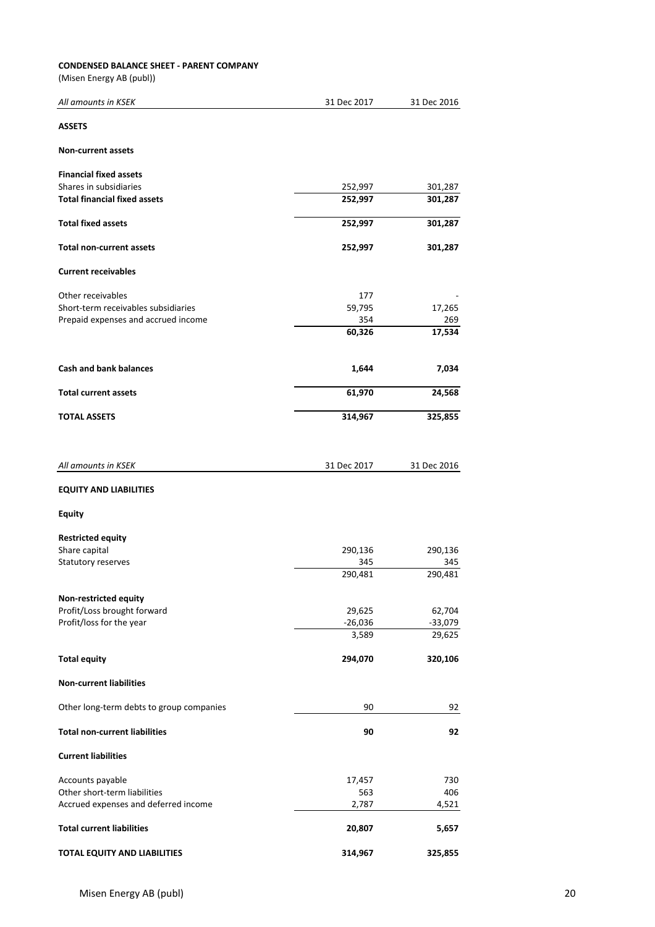#### **CONDENSED BALANCE SHEET - PARENT COMPANY**

(Misen Energy AB (publ))

| All amounts in KSEK                      | 31 Dec 2017        | 31 Dec 2016         |
|------------------------------------------|--------------------|---------------------|
| <b>ASSETS</b>                            |                    |                     |
| <b>Non-current assets</b>                |                    |                     |
| <b>Financial fixed assets</b>            |                    |                     |
| Shares in subsidiaries                   | 252,997            | 301,287             |
| <b>Total financial fixed assets</b>      | 252,997            | 301,287             |
| <b>Total fixed assets</b>                | 252,997            | 301,287             |
| <b>Total non-current assets</b>          | 252,997            | 301,287             |
| <b>Current receivables</b>               |                    |                     |
| Other receivables                        | 177                |                     |
| Short-term receivables subsidiaries      | 59,795             | 17,265              |
| Prepaid expenses and accrued income      | 354                | 269                 |
|                                          | 60,326             | 17,534              |
| <b>Cash and bank balances</b>            | 1,644              | 7,034               |
| <b>Total current assets</b>              | 61,970             | 24,568              |
| <b>TOTAL ASSETS</b>                      | 314,967            | 325,855             |
| All amounts in KSEK                      | 31 Dec 2017        | 31 Dec 2016         |
| <b>EQUITY AND LIABILITIES</b>            |                    |                     |
| <b>Equity</b>                            |                    |                     |
| <b>Restricted equity</b>                 |                    |                     |
| Share capital                            | 290,136            | 290,136             |
| Statutory reserves                       | 345                | 345                 |
|                                          | 290,481            | 290,481             |
| Non-restricted equity                    |                    |                     |
| Profit/Loss brought forward              | 29,625             | 62,704              |
| Profit/loss for the year                 | $-26,036$<br>3,589 | $-33,079$<br>29,625 |
| <b>Total equity</b>                      | 294,070            | 320,106             |
| <b>Non-current liabilities</b>           |                    |                     |
| Other long-term debts to group companies | 90                 | 92                  |
|                                          |                    |                     |
| <b>Total non-current liabilities</b>     | 90                 | 92                  |
| <b>Current liabilities</b>               |                    |                     |
| Accounts payable                         | 17,457             | 730                 |
| Other short-term liabilities             | 563                | 406                 |
| Accrued expenses and deferred income     | 2,787              | 4,521               |
| <b>Total current liabilities</b>         | 20,807             | 5,657               |

**TOTAL EQUITY AND LIABILITIES 314,967 325,855**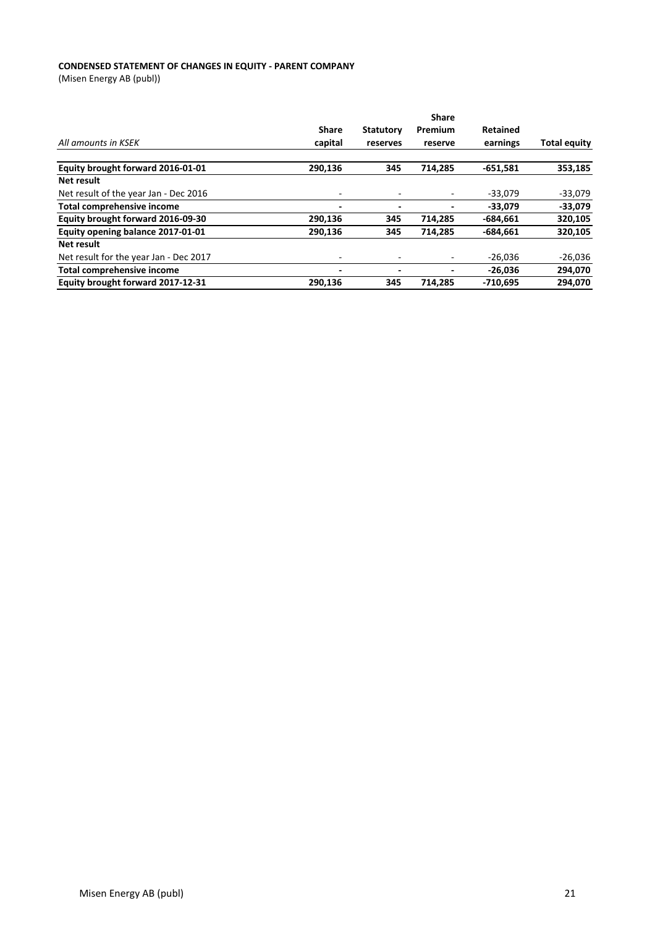#### **CONDENSED STATEMENT OF CHANGES IN EQUITY - PARENT COMPANY**

(Misen Energy AB (publ))

|                                        |              |                  | <b>Share</b> |                 |                     |
|----------------------------------------|--------------|------------------|--------------|-----------------|---------------------|
|                                        | <b>Share</b> | <b>Statutory</b> | Premium      | <b>Retained</b> |                     |
| All amounts in KSEK                    | capital      | reserves         | reserve      | earnings        | <b>Total equity</b> |
| Equity brought forward 2016-01-01      | 290,136      | 345              | 714,285      | $-651,581$      | 353,185             |
| Net result                             |              |                  |              |                 |                     |
| Net result of the year Jan - Dec 2016  | ٠            |                  |              | $-33,079$       | $-33,079$           |
| <b>Total comprehensive income</b>      |              |                  |              | $-33.079$       | $-33,079$           |
| Equity brought forward 2016-09-30      | 290,136      | 345              | 714,285      | $-684,661$      | 320,105             |
| Equity opening balance 2017-01-01      | 290,136      | 345              | 714,285      | $-684,661$      | 320,105             |
| Net result                             |              |                  |              |                 |                     |
| Net result for the year Jan - Dec 2017 | ۰            |                  |              | $-26,036$       | $-26,036$           |
| Total comprehensive income             | -            |                  |              | $-26.036$       | 294,070             |
| Equity brought forward 2017-12-31      | 290.136      | 345              | 714.285      | $-710.695$      | 294.070             |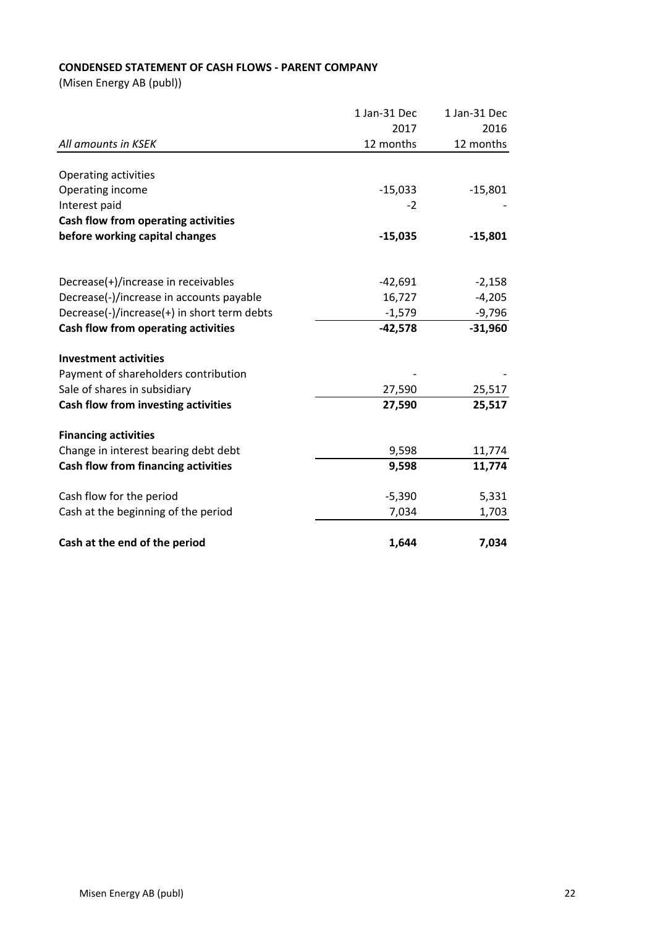# **CONDENSED STATEMENT OF CASH FLOWS - PARENT COMPANY**

(Misen Energy AB (publ))

|                                             | 1 Jan-31 Dec | 1 Jan-31 Dec |
|---------------------------------------------|--------------|--------------|
|                                             | 2017         | 2016         |
| All amounts in KSEK                         | 12 months    | 12 months    |
|                                             |              |              |
| Operating activities                        |              |              |
| Operating income                            | $-15,033$    | $-15,801$    |
| Interest paid                               | $-2$         |              |
| Cash flow from operating activities         |              |              |
| before working capital changes              | $-15,035$    | $-15,801$    |
|                                             |              |              |
| Decrease(+)/increase in receivables         | $-42,691$    | $-2,158$     |
| Decrease(-)/increase in accounts payable    | 16,727       | $-4,205$     |
| Decrease(-)/increase(+) in short term debts | $-1,579$     | $-9,796$     |
| Cash flow from operating activities         | $-42,578$    | $-31,960$    |
|                                             |              |              |
| <b>Investment activities</b>                |              |              |
| Payment of shareholders contribution        |              |              |
| Sale of shares in subsidiary                | 27,590       | 25,517       |
| Cash flow from investing activities         | 27,590       | 25,517       |
|                                             |              |              |
| <b>Financing activities</b>                 |              |              |
| Change in interest bearing debt debt        | 9,598        | 11,774       |
| <b>Cash flow from financing activities</b>  | 9,598        | 11,774       |
| Cash flow for the period                    | $-5,390$     | 5,331        |
| Cash at the beginning of the period         | 7,034        | 1,703        |
| Cash at the end of the period               | 1,644        | 7,034        |